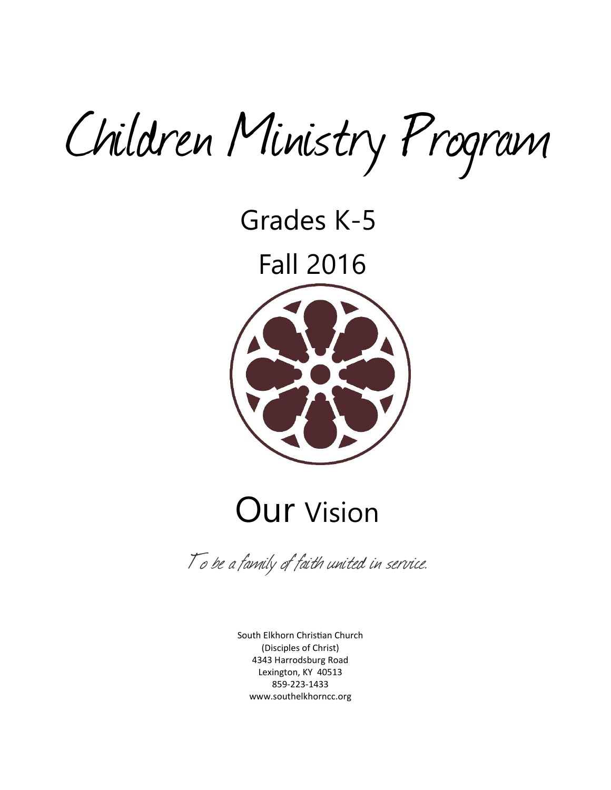Children Ministry Program

Grades K-5

Fall 2016



# Our Vision

To be a family of faith united in service.

South Elkhorn Christian Church (Disciples of Christ) 4343 Harrodsburg Road Lexington, KY 40513 859-223-1433 [www.southelkhorncc.org](http://www.southelkhorncc.org/)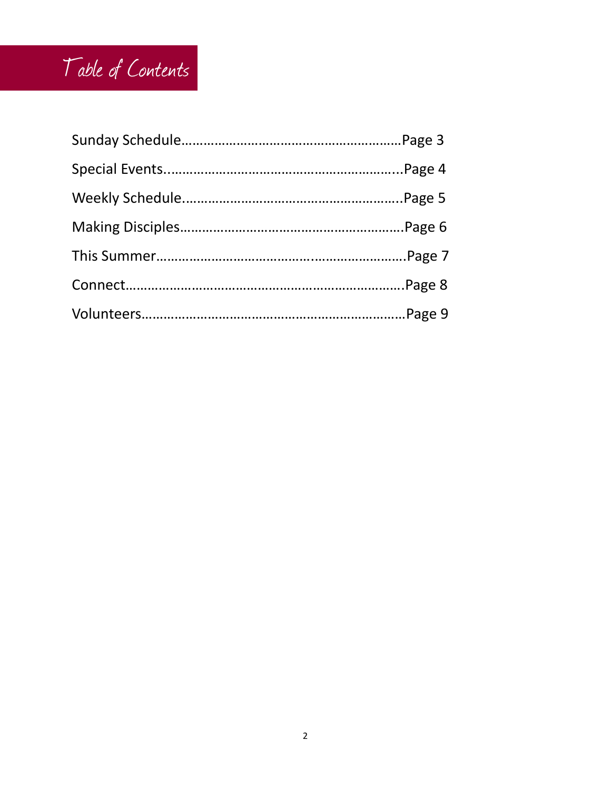## Table of Contents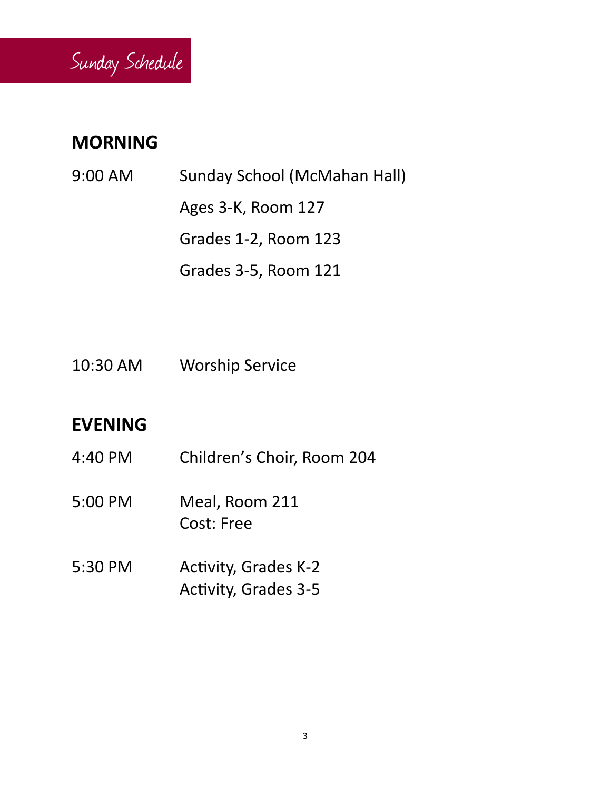

## **MORNING**

- 9:00 AM Sunday School (McMahan Hall) Ages 3-K, Room 127 Grades 1-2, Room 123 Grades 3-5, Room 121
- 10:30 AM Worship Service

## **EVENING**

- 4:40 PM Children's Choir, Room 204
- 5:00 PM Meal, Room 211 Cost: Free
- 5:30 PM Activity, Grades K-2 Activity, Grades 3-5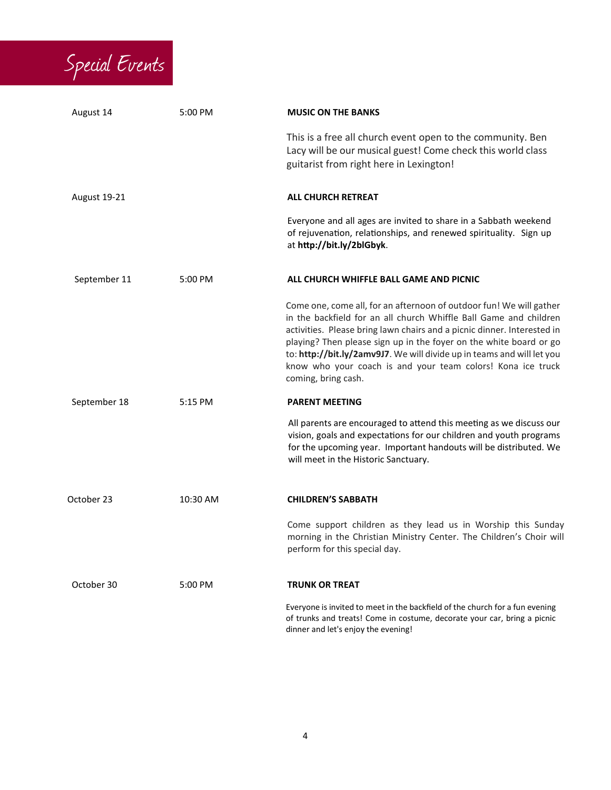

| August 14           | 5:00 PM  | <b>MUSIC ON THE BANKS</b>                                                                                                                                                                                                                                                                                                                                                                                                                                 |
|---------------------|----------|-----------------------------------------------------------------------------------------------------------------------------------------------------------------------------------------------------------------------------------------------------------------------------------------------------------------------------------------------------------------------------------------------------------------------------------------------------------|
|                     |          | This is a free all church event open to the community. Ben<br>Lacy will be our musical guest! Come check this world class<br>guitarist from right here in Lexington!                                                                                                                                                                                                                                                                                      |
| <b>August 19-21</b> |          | <b>ALL CHURCH RETREAT</b>                                                                                                                                                                                                                                                                                                                                                                                                                                 |
|                     |          | Everyone and all ages are invited to share in a Sabbath weekend<br>of rejuvenation, relationships, and renewed spirituality. Sign up<br>at http://bit.ly/2blGbyk.                                                                                                                                                                                                                                                                                         |
| September 11        | 5:00 PM  | ALL CHURCH WHIFFLE BALL GAME AND PICNIC                                                                                                                                                                                                                                                                                                                                                                                                                   |
|                     |          | Come one, come all, for an afternoon of outdoor fun! We will gather<br>in the backfield for an all church Whiffle Ball Game and children<br>activities. Please bring lawn chairs and a picnic dinner. Interested in<br>playing? Then please sign up in the foyer on the white board or go<br>to: http://bit.ly/2amv9J7. We will divide up in teams and will let you<br>know who your coach is and your team colors! Kona ice truck<br>coming, bring cash. |
| September 18        | 5:15 PM  | <b>PARENT MEETING</b>                                                                                                                                                                                                                                                                                                                                                                                                                                     |
|                     |          | All parents are encouraged to attend this meeting as we discuss our<br>vision, goals and expectations for our children and youth programs<br>for the upcoming year. Important handouts will be distributed. We<br>will meet in the Historic Sanctuary.                                                                                                                                                                                                    |
| October 23          | 10:30 AM | <b>CHILDREN'S SABBATH</b>                                                                                                                                                                                                                                                                                                                                                                                                                                 |
|                     |          | Come support children as they lead us in Worship this Sunday<br>morning in the Christian Ministry Center. The Children's Choir will<br>perform for this special day.                                                                                                                                                                                                                                                                                      |
| October 30          | 5:00 PM  | <b>TRUNK OR TREAT</b>                                                                                                                                                                                                                                                                                                                                                                                                                                     |
|                     |          | Everyone is invited to meet in the backfield of the church for a fun evening<br>of trunks and treats! Come in costume, decorate your car, bring a picnic<br>dinner and let's enjoy the evening!                                                                                                                                                                                                                                                           |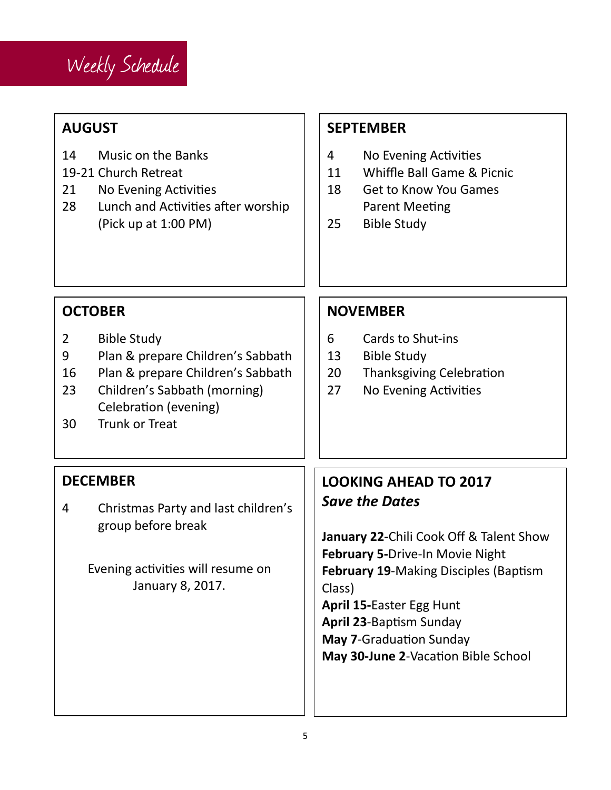

## **AUGUST**

- 14 Music on the Banks
- 19-21 Church Retreat
- 21 No Evening Activities
- 28 Lunch and Activities after worship (Pick up at 1:00 PM)

## **SEPTEMBER**

- 4 No Evening Activities
- 11 Whiffle Ball Game & Picnic
- 18 Get to Know You Games Parent Meeting
- 25 Bible Study

## **OCTOBER**

- 2 Bible Study
- 9 Plan & prepare Children's Sabbath
- 16 Plan & prepare Children's Sabbath
- 23 Children's Sabbath (morning) Celebration (evening)
- 30 Trunk or Treat

### **NOVEMBER**

- 6 Cards to Shut-ins
- 13 Bible Study
- 20 Thanksgiving Celebration
- 27 No Evening Activities

## **DECEMBER**

4 Christmas Party and last children's group before break

> Evening activities will resume on January 8, 2017.

## **LOOKING AHEAD TO 2017** *Save the Dates*

**January 22-**Chili Cook Off & Talent Show **February 5-**Drive-In Movie Night **February 19**-Making Disciples (Baptism Class)

**April 15-**Easter Egg Hunt **April 23**-Baptism Sunday **May 7**-Graduation Sunday **May 30-June 2**-Vacation Bible School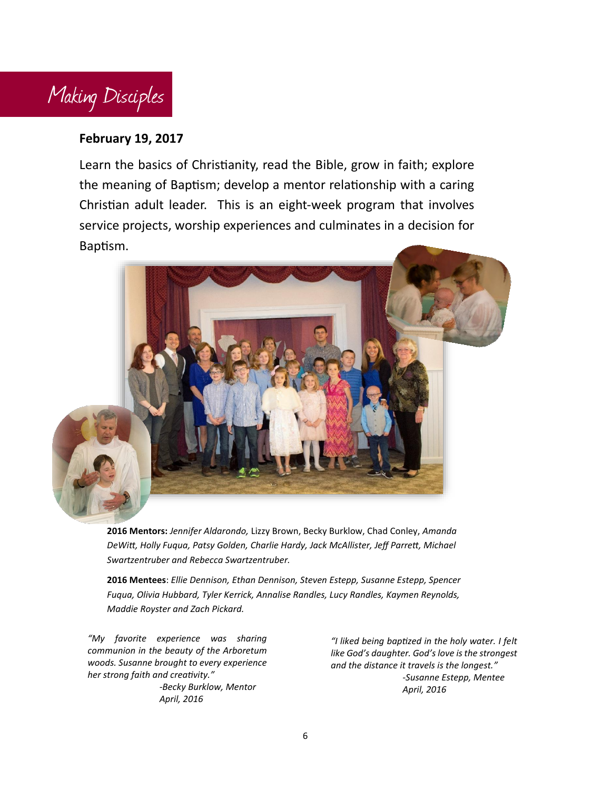

#### **February 19, 2017**

Learn the basics of Christianity, read the Bible, grow in faith; explore the meaning of Baptism; develop a mentor relationship with a caring Christian adult leader. This is an eight-week program that involves service projects, worship experiences and culminates in a decision for Baptism.



**2016 Mentors:** *Jennifer Aldarondo,* Lizzy Brown, Becky Burklow, Chad Conley, *Amanda DeWitt, Holly Fuqua, Patsy Golden, Charlie Hardy, Jack McAllister, Jeff Parrett, Michael Swartzentruber and Rebecca Swartzentruber.*

**2016 Mentees**: *Ellie Dennison, Ethan Dennison, Steven Estepp, Susanne Estepp, Spencer Fuqua, Olivia Hubbard, Tyler Kerrick, Annalise Randles, Lucy Randles, Kaymen Reynolds, Maddie Royster and Zach Pickard.*

*"My favorite experience was sharing communion in the beauty of the Arboretum woods. Susanne brought to every experience her strong faith and creativity." -Becky Burklow, Mentor April, 2016*

*"I liked being baptized in the holy water. I felt like God's daughter. God's love is the strongest and the distance it travels is the longest." -Susanne Estepp, Mentee April, 2016*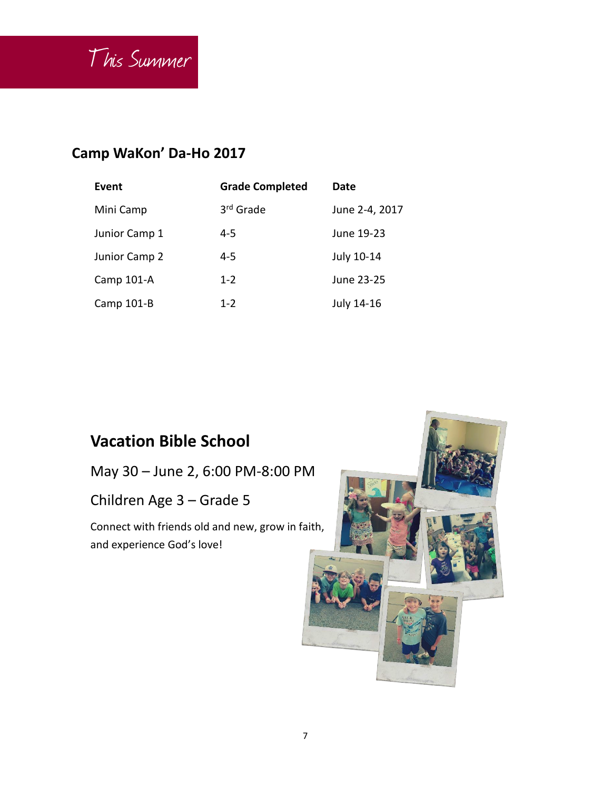

## **Camp WaKon' Da-Ho 2017**

| Event         | <b>Grade Completed</b> | Date           |
|---------------|------------------------|----------------|
| Mini Camp     | 3rd Grade              | June 2-4, 2017 |
| Junior Camp 1 | 4-5                    | June 19-23     |
| Junior Camp 2 | 4-5                    | July 10-14     |
| Camp 101-A    | $1 - 2$                | June 23-25     |
| Camp 101-B    | $1 - 2$                | July 14-16     |

## **Vacation Bible School**

May 30 – June 2, 6:00 PM-8:00 PM

Children Age 3 – Grade 5

Connect with friends old and new, grow in faith, and experience God's love!

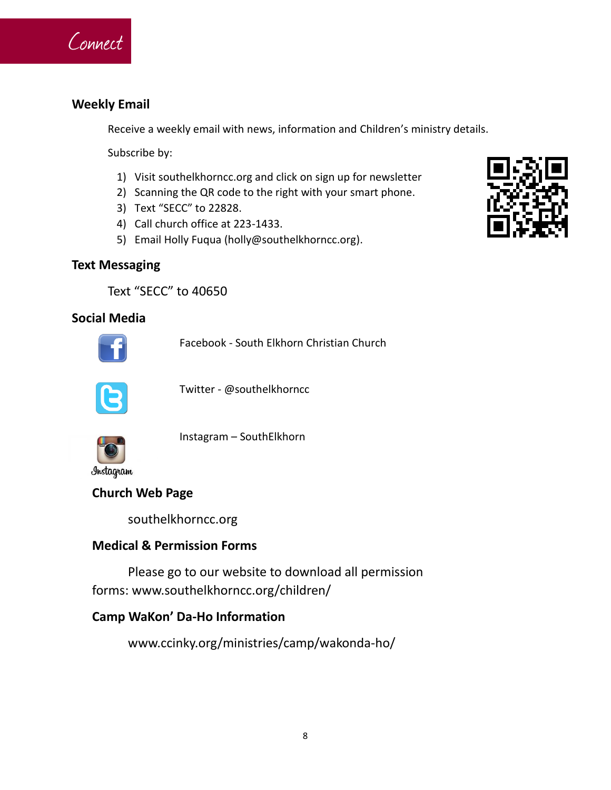

#### **Weekly Email**

Receive a weekly email with news, information and Children's ministry details.

Subscribe by:

- 1) Visit southelkhorncc.org and click on sign up for newsletter
- 2) Scanning the QR code to the right with your smart phone.
- 3) Text "SECC" to 22828.
- 4) Call church office at 223-1433.
- 5) Email Holly Fuqua (holly@southelkhorncc.org).

#### **Text Messaging**

Text "SECC" to 40650

#### **Social Media**



Facebook - South Elkhorn Christian Church



Twitter - @southelkhorncc



Instagram – SouthElkhorn

Instagram

#### **Church Web Page**

southelkhorncc.org

#### **Medical & Permission Forms**

Please go to our website to download all permission forms: www.southelkhorncc.org/children/

#### **Camp WaKon' Da-Ho Information**

www.ccinky.org/ministries/camp/wakonda-ho/